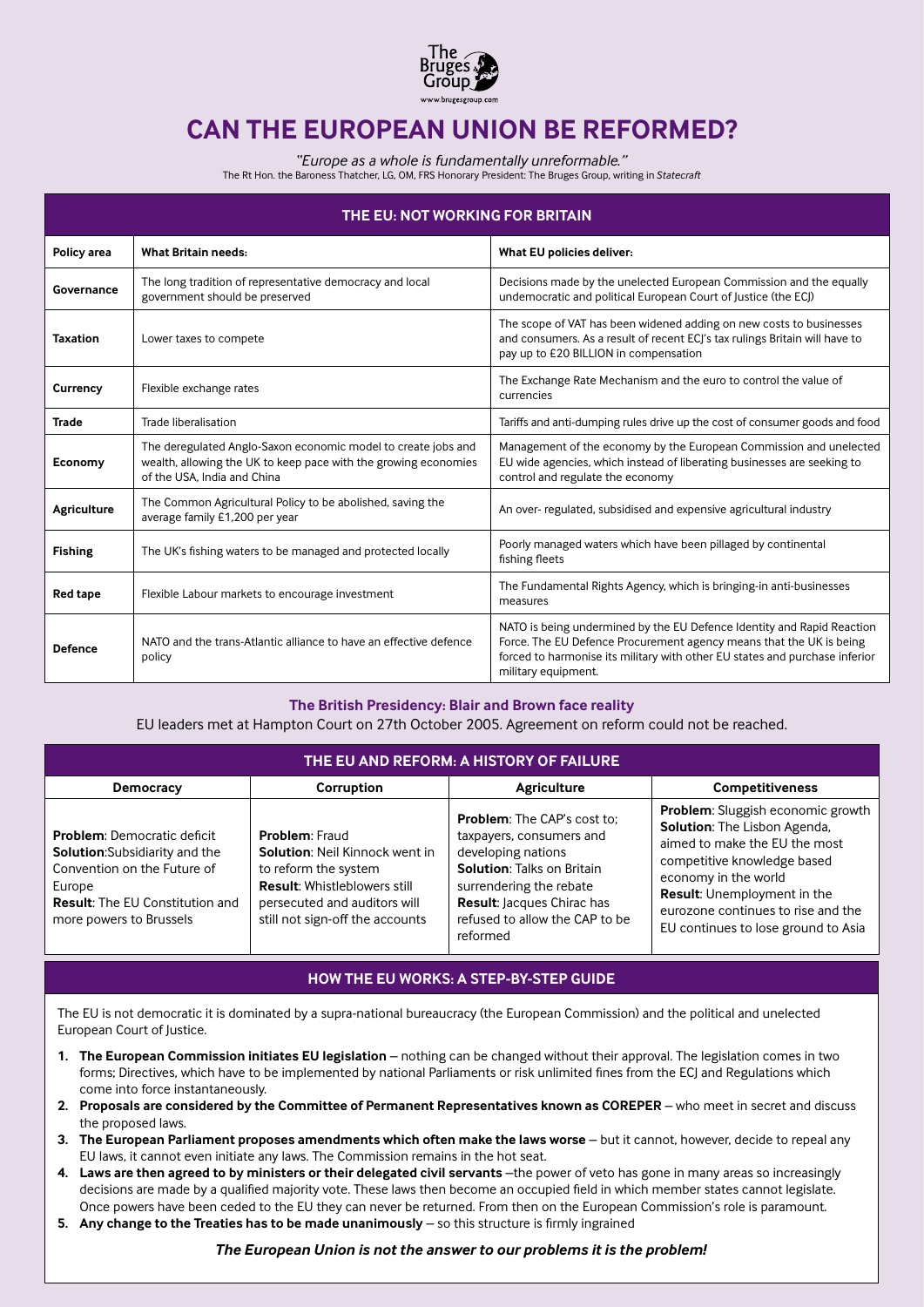

# **CAN THE EUROPEAN UNION BE REFORMED?**

*"Europe as a whole is fundamentally unreformable."*

The Rt Hon. the Baroness Thatcher, LG, OM, FRS Honorary President: The Bruges Group, writing in *Statecraft*

| THE EU: NOT WORKING FOR BRITAIN |                                                                                                                                                                 |                                                                                                                                                                                                                                                     |  |  |  |  |
|---------------------------------|-----------------------------------------------------------------------------------------------------------------------------------------------------------------|-----------------------------------------------------------------------------------------------------------------------------------------------------------------------------------------------------------------------------------------------------|--|--|--|--|
| Policy area                     | <b>What Britain needs:</b>                                                                                                                                      | What EU policies deliver:                                                                                                                                                                                                                           |  |  |  |  |
| Governance                      | The long tradition of representative democracy and local<br>government should be preserved                                                                      | Decisions made by the unelected European Commission and the equally<br>undemocratic and political European Court of Justice (the ECJ)                                                                                                               |  |  |  |  |
| <b>Taxation</b>                 | Lower taxes to compete                                                                                                                                          | The scope of VAT has been widened adding on new costs to businesses<br>and consumers. As a result of recent ECJ's tax rulings Britain will have to<br>pay up to £20 BILLION in compensation                                                         |  |  |  |  |
| Currency                        | Flexible exchange rates                                                                                                                                         | The Exchange Rate Mechanism and the euro to control the value of<br>currencies                                                                                                                                                                      |  |  |  |  |
| <b>Trade</b>                    | Trade liberalisation                                                                                                                                            | Tariffs and anti-dumping rules drive up the cost of consumer goods and food                                                                                                                                                                         |  |  |  |  |
| Economy                         | The deregulated Anglo-Saxon economic model to create jobs and<br>wealth, allowing the UK to keep pace with the growing economies<br>of the USA. India and China | Management of the economy by the European Commission and unelected<br>EU wide agencies, which instead of liberating businesses are seeking to<br>control and regulate the economy                                                                   |  |  |  |  |
| Agriculture                     | The Common Agricultural Policy to be abolished, saving the<br>average family £1,200 per year                                                                    | An over-regulated, subsidised and expensive agricultural industry                                                                                                                                                                                   |  |  |  |  |
| <b>Fishing</b>                  | The UK's fishing waters to be managed and protected locally                                                                                                     | Poorly managed waters which have been pillaged by continental<br>fishing fleets                                                                                                                                                                     |  |  |  |  |
| <b>Red tape</b>                 | Flexible Labour markets to encourage investment                                                                                                                 | The Fundamental Rights Agency, which is bringing-in anti-businesses<br>measures                                                                                                                                                                     |  |  |  |  |
| <b>Defence</b>                  | NATO and the trans-Atlantic alliance to have an effective defence<br>policy                                                                                     | NATO is being undermined by the EU Defence Identity and Rapid Reaction<br>Force. The EU Defence Procurement agency means that the UK is being<br>forced to harmonise its military with other EU states and purchase inferior<br>military equipment. |  |  |  |  |

#### **The British Presidency: Blair and Brown face reality**

EU leaders met at Hampton Court on 27th October 2005. Agreement on reform could not be reached.

| THE EU AND REFORM: A HISTORY OF FAILURE                                                                                                                                                   |                                                                                                                                                                                                  |                                                                                                                                                                                                                                         |                                                                                                                                                                                                                                                                              |  |  |  |  |
|-------------------------------------------------------------------------------------------------------------------------------------------------------------------------------------------|--------------------------------------------------------------------------------------------------------------------------------------------------------------------------------------------------|-----------------------------------------------------------------------------------------------------------------------------------------------------------------------------------------------------------------------------------------|------------------------------------------------------------------------------------------------------------------------------------------------------------------------------------------------------------------------------------------------------------------------------|--|--|--|--|
| Democracy                                                                                                                                                                                 | <b>Corruption</b>                                                                                                                                                                                | Agriculture                                                                                                                                                                                                                             | <b>Competitiveness</b>                                                                                                                                                                                                                                                       |  |  |  |  |
| <b>Problem:</b> Democratic deficit<br><b>Solution:</b> Subsidiarity and the<br>Convention on the Future of<br>Europe<br><b>Result:</b> The EU Constitution and<br>more powers to Brussels | <b>Problem: Fraud</b><br><b>Solution: Neil Kinnock went in</b><br>to reform the system<br><b>Result: Whistleblowers still</b><br>persecuted and auditors will<br>still not sign-off the accounts | <b>Problem:</b> The CAP's cost to:<br>taxpayers, consumers and<br>developing nations<br><b>Solution: Talks on Britain</b><br>surrendering the rebate<br><b>Result: Jacques Chirac has</b><br>refused to allow the CAP to be<br>reformed | Problem: Sluggish economic growth<br>Solution: The Lisbon Agenda,<br>aimed to make the EU the most<br>competitive knowledge based<br>economy in the world<br><b>Result:</b> Unemployment in the<br>eurozone continues to rise and the<br>EU continues to lose ground to Asia |  |  |  |  |

#### **HOW THE EU WORKS: A STEP-BY-STEP GUIDE**

The EU is not democratic it is dominated by a supra-national bureaucracy (the European Commission) and the political and unelected European Court of Justice.

- **1. The European Commission initiates EU legislation** nothing can be changed without their approval. The legislation comes in two forms; Directives, which have to be implemented by national Parliaments or risk unlimited fines from the ECJ and Regulations which come into force instantaneously.
- **2. Proposals are considered by the Committee of Permanent Representatives known as COREPER** who meet in secret and discuss the proposed laws.
- **3. The European Parliament proposes amendments which often make the laws worse** but it cannot, however, decide to repeal any EU laws, it cannot even initiate any laws. The Commission remains in the hot seat.
- **4. Laws are then agreed to by ministers or their delegated civil servants** –the power of veto has gone in many areas so increasingly decisions are made by a qualified majority vote. These laws then become an occupied field in which member states cannot legislate. Once powers have been ceded to the EU they can never be returned. From then on the European Commission's role is paramount.
- **5. Any change to the Treaties has to be made unanimously** so this structure is firmly ingrained

### *The European Union is not the answer to our problems it is the problem!*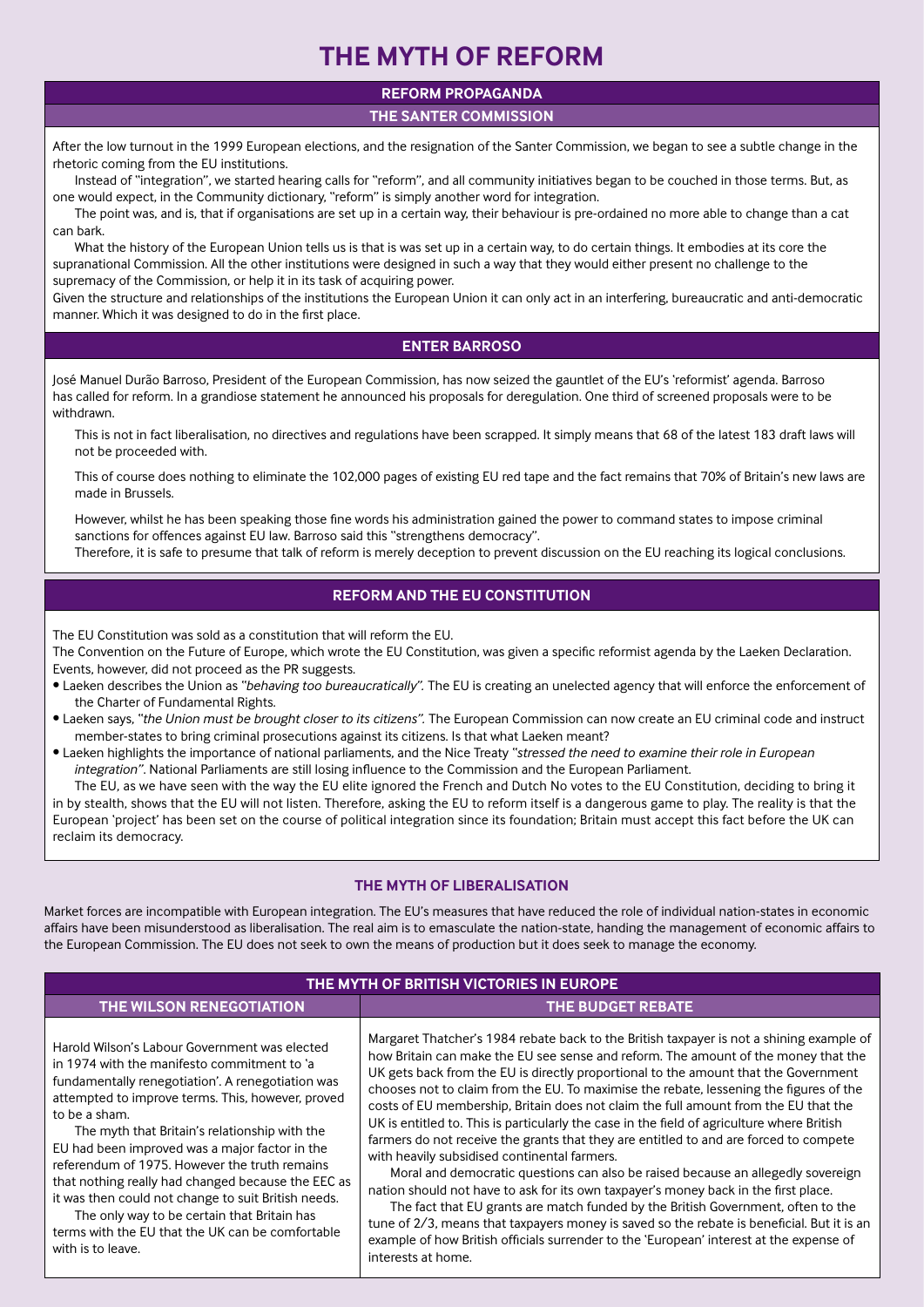# **THE MYTH OF REFORM**

### **REFORM PROPAGANDA**

**THE SANTER COMMISSION**

After the low turnout in the 1999 European elections, and the resignation of the Santer Commission, we began to see a subtle change in the rhetoric coming from the EU institutions.

Instead of "integration", we started hearing calls for "reform", and all community initiatives began to be couched in those terms. But, as one would expect, in the Community dictionary, "reform" is simply another word for integration.

The point was, and is, that if organisations are set up in a certain way, their behaviour is pre-ordained no more able to change than a cat can bark.

What the history of the European Union tells us is that is was set up in a certain way, to do certain things. It embodies at its core the supranational Commission. All the other institutions were designed in such a way that they would either present no challenge to the supremacy of the Commission, or help it in its task of acquiring power.

Given the structure and relationships of the institutions the European Union it can only act in an interfering, bureaucratic and anti-democratic manner. Which it was designed to do in the first place.

### **ENTER BARROSO**

José Manuel Durão Barroso, President of the European Commission, has now seized the gauntlet of the EU's 'reformist' agenda. Barroso has called for reform. In a grandiose statement he announced his proposals for deregulation. One third of screened proposals were to be withdrawn.

This is not in fact liberalisation, no directives and regulations have been scrapped. It simply means that 68 of the latest 183 draft laws will not be proceeded with.

This of course does nothing to eliminate the 102,000 pages of existing EU red tape and the fact remains that 70% of Britain's new laws are made in Brussels.

However, whilst he has been speaking those fine words his administration gained the power to command states to impose criminal sanctions for offences against EU law. Barroso said this "strengthens democracy".

Therefore, it is safe to presume that talk of reform is merely deception to prevent discussion on the EU reaching its logical conclusions.

## **REFORM AND THE EU CONSTITUTION**

The EU Constitution was sold as a constitution that will reform the EU.

The Convention on the Future of Europe, which wrote the EU Constitution, was given a specific reformist agenda by the Laeken Declaration. Events, however, did not proceed as the PR suggests.

- Laeken describes the Union as *"behaving too bureaucratically".* The EU is creating an unelected agency that will enforce the enforcement of the Charter of Fundamental Rights.
- Laeken says, *"the Union must be brought closer to its citizens".* The European Commission can now create an EU criminal code and instruct member-states to bring criminal prosecutions against its citizens. Is that what Laeken meant?
- Laeken highlights the importance of national parliaments, and the Nice Treaty *"stressed the need to examine their role in European integration"*. National Parliaments are still losing influence to the Commission and the European Parliament.

The EU, as we have seen with the way the EU elite ignored the French and Dutch No votes to the EU Constitution, deciding to bring it in by stealth, shows that the EU will not listen. Therefore, asking the EU to reform itself is a dangerous game to play. The reality is that the European 'project' has been set on the course of political integration since its foundation; Britain must accept this fact before the UK can reclaim its democracy.

### **THE MYTH OF LIBERALISATION**

Market forces are incompatible with European integration. The EU's measures that have reduced the role of individual nation-states in economic affairs have been misunderstood as liberalisation. The real aim is to emasculate the nation-state, handing the management of economic affairs to the European Commission. The EU does not seek to own the means of production but it does seek to manage the economy.

| THE MYTH OF BRITISH VICTORIES IN EUROPE                                                                                                                                                                                                                                                                                                                                                                                                                                                                                                                                                                          |                                                                                                                                                                                                                                                                                                                                                                                                                                                                                                                                                                                                                                                                                                                                                                                                                                                                                                                                                                                                                                                                                                                                                                             |  |  |  |  |
|------------------------------------------------------------------------------------------------------------------------------------------------------------------------------------------------------------------------------------------------------------------------------------------------------------------------------------------------------------------------------------------------------------------------------------------------------------------------------------------------------------------------------------------------------------------------------------------------------------------|-----------------------------------------------------------------------------------------------------------------------------------------------------------------------------------------------------------------------------------------------------------------------------------------------------------------------------------------------------------------------------------------------------------------------------------------------------------------------------------------------------------------------------------------------------------------------------------------------------------------------------------------------------------------------------------------------------------------------------------------------------------------------------------------------------------------------------------------------------------------------------------------------------------------------------------------------------------------------------------------------------------------------------------------------------------------------------------------------------------------------------------------------------------------------------|--|--|--|--|
| <b>THE WILSON RENEGOTIATION</b>                                                                                                                                                                                                                                                                                                                                                                                                                                                                                                                                                                                  | THE BUDGET REBATE                                                                                                                                                                                                                                                                                                                                                                                                                                                                                                                                                                                                                                                                                                                                                                                                                                                                                                                                                                                                                                                                                                                                                           |  |  |  |  |
| Harold Wilson's Labour Government was elected<br>in 1974 with the manifesto commitment to 'a<br>fundamentally renegotiation'. A renegotiation was<br>attempted to improve terms. This, however, proved<br>to be a sham.<br>The myth that Britain's relationship with the<br>EU had been improved was a major factor in the<br>referendum of 1975. However the truth remains<br>that nothing really had changed because the EEC as<br>it was then could not change to suit British needs.<br>The only way to be certain that Britain has<br>terms with the EU that the UK can be comfortable<br>with is to leave. | Margaret Thatcher's 1984 rebate back to the British taxpayer is not a shining example of<br>how Britain can make the EU see sense and reform. The amount of the money that the<br>UK gets back from the EU is directly proportional to the amount that the Government<br>chooses not to claim from the EU. To maximise the rebate, lessening the figures of the<br>costs of EU membership, Britain does not claim the full amount from the EU that the<br>UK is entitled to. This is particularly the case in the field of agriculture where British<br>farmers do not receive the grants that they are entitled to and are forced to compete<br>with heavily subsidised continental farmers.<br>Moral and democratic questions can also be raised because an allegedly sovereign<br>nation should not have to ask for its own taxpayer's money back in the first place.<br>The fact that EU grants are match funded by the British Government, often to the<br>tune of 2/3, means that taxpayers money is saved so the rebate is beneficial. But it is an<br>example of how British officials surrender to the 'European' interest at the expense of<br>interests at home. |  |  |  |  |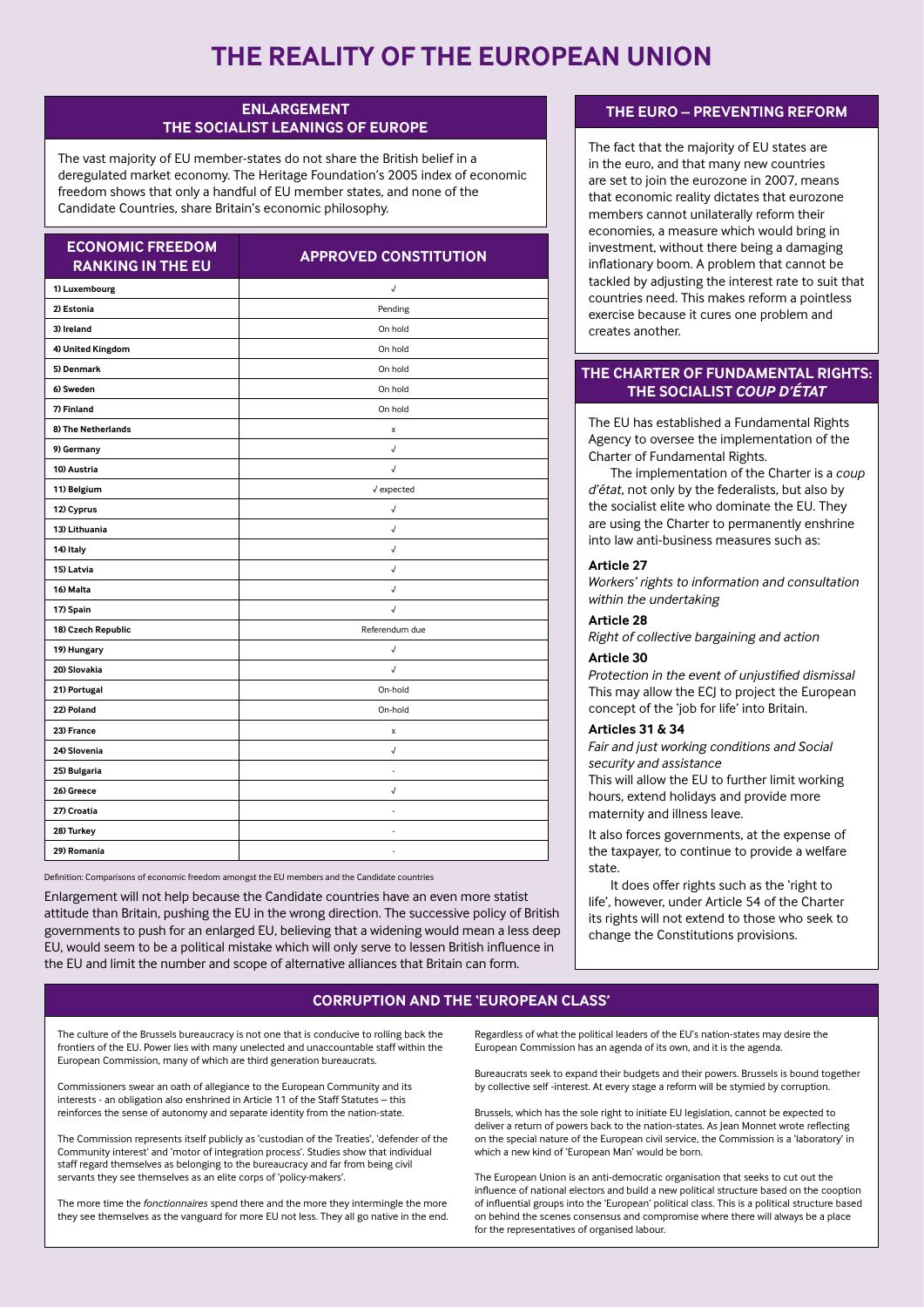# **THE REALITY OF THE EUROPEAN UNION**

#### **ENLARGEMENT THE SOCIALIST LEANINGS OF EUROPE**

The vast majority of EU member-states do not share the British belief in a deregulated market economy. The Heritage Foundation's 2005 index of economic freedom shows that only a handful of EU member states, and none of the Candidate Countries, share Britain's economic philosophy.

| <b>ECONOMIC FREEDOM</b><br><b>RANKING IN THE EU</b> | <b>APPROVED CONSTITUTION</b> |  |  |
|-----------------------------------------------------|------------------------------|--|--|
| 1) Luxembourg                                       | √                            |  |  |
| 2) Estonia                                          | Pending                      |  |  |
| 3) Ireland                                          | On hold                      |  |  |
| 4) United Kingdom                                   | On hold                      |  |  |
| 5) Denmark                                          | On hold                      |  |  |
| 6) Sweden                                           | On hold                      |  |  |
| 7) Finland                                          | On hold                      |  |  |
| 8) The Netherlands                                  | x                            |  |  |
| 9) Germany                                          | $\checkmark$                 |  |  |
| 10) Austria                                         | $\sqrt{2}$                   |  |  |
| 11) Belgium                                         | $\sqrt{\text{expected}}$     |  |  |
| 12) Cyprus                                          | $\sqrt{ }$                   |  |  |
| 13) Lithuania                                       | $\sqrt{2}$                   |  |  |
| 14) Italy                                           | $\sqrt{2}$                   |  |  |
| 15) Latvia                                          | $\checkmark$                 |  |  |
| 16) Malta                                           | $\checkmark$                 |  |  |
| 17) Spain                                           | $\sqrt{2}$                   |  |  |
| 18) Czech Republic                                  | Referendum due               |  |  |
| 19) Hungary                                         | $\checkmark$                 |  |  |
| 20) Slovakia                                        | $\sqrt{2}$                   |  |  |
| 21) Portugal                                        | On-hold                      |  |  |
| 22) Poland                                          | On-hold                      |  |  |
| 23) France                                          | x                            |  |  |
| 24) Slovenia                                        | $\sqrt{2}$                   |  |  |
| 25) Bulgaria                                        | ÷,                           |  |  |
| 26) Greece                                          | $\checkmark$                 |  |  |
| 27) Croatia                                         | ä,                           |  |  |
| 28) Turkey                                          | ٠                            |  |  |
| 29) Romania                                         | $\overline{\phantom{a}}$     |  |  |

Definition: Comparisons of economic freedom amongst the EU members and the Candidate countries

Enlargement will not help because the Candidate countries have an even more statist attitude than Britain, pushing the EU in the wrong direction. The successive policy of British governments to push for an enlarged EU, believing that a widening would mean a less deep EU, would seem to be a political mistake which will only serve to lessen British influence in the EU and limit the number and scope of alternative alliances that Britain can form.

#### **THE EURO – PREVENTING REFORM**

The fact that the majority of EU states are in the euro, and that many new countries are set to join the eurozone in 2007, means that economic reality dictates that eurozone members cannot unilaterally reform their economies, a measure which would bring in investment, without there being a damaging inflationary boom. A problem that cannot be tackled by adjusting the interest rate to suit that countries need. This makes reform a pointless exercise because it cures one problem and creates another.

### **THE CHARTER OF FUNDAMENTAL RIGHTS: THE SOCIALIST** *COUP D'ÉTAT*

The EU has established a Fundamental Rights Agency to oversee the implementation of the Charter of Fundamental Rights.

The implementation of the Charter is a *coup d'état*, not only by the federalists, but also by the socialist elite who dominate the EU. They are using the Charter to permanently enshrine into law anti-business measures such as:

#### **Article 27**

*Workers' rights to information and consultation within the undertaking*

#### **Article 28**

*Right of collective bargaining and action*

#### **Article 30**

*Protection in the event of unjustified dismissal* This may allow the ECJ to project the European concept of the 'job for life' into Britain.

#### **Articles 31 & 34**

*Fair and just working conditions and Social security and assistance*

This will allow the EU to further limit working hours, extend holidays and provide more maternity and illness leave.

It also forces governments, at the expense of the taxpayer, to continue to provide a welfare state.

It does offer rights such as the 'right to life', however, under Article 54 of the Charter its rights will not extend to those who seek to change the Constitutions provisions.

#### **CORRUPTION AND THE 'EUROPEAN CLASS'**

The culture of the Brussels bureaucracy is not one that is conducive to rolling back the frontiers of the EU. Power lies with many unelected and unaccountable staff within the European Commission, many of which are third generation bureaucrats.

Commissioners swear an oath of allegiance to the European Community and its interests - an obligation also enshrined in Article 11 of the Staff Statutes – this reinforces the sense of autonomy and separate identity from the nation-state.

The Commission represents itself publicly as 'custodian of the Treaties', 'defender of the Community interest' and 'motor of integration process'. Studies show that individual staff regard themselves as belonging to the bureaucracy and far from being civil servants they see themselves as an elite corps of 'policy-makers'.

The more time the *fonctionnaires* spend there and the more they intermingle the more they see themselves as the vanguard for more EU not less. They all go native in the end. Regardless of what the political leaders of the EU's nation-states may desire the European Commission has an agenda of its own, and it is the agenda.

Bureaucrats seek to expand their budgets and their powers. Brussels is bound together by collective self -interest. At every stage a reform will be stymied by corruption.

Brussels, which has the sole right to initiate EU legislation, cannot be expected to deliver a return of powers back to the nation-states. As Jean Monnet wrote reflecting on the special nature of the European civil service, the Commission is a 'laboratory' in which a new kind of 'European Man' would be born.

The European Union is an anti-democratic organisation that seeks to cut out the influence of national electors and build a new political structure based on the cooption of influential groups into the 'European' political class. This is a political structure based on behind the scenes consensus and compromise where there will always be a place for the representatives of organised labour.